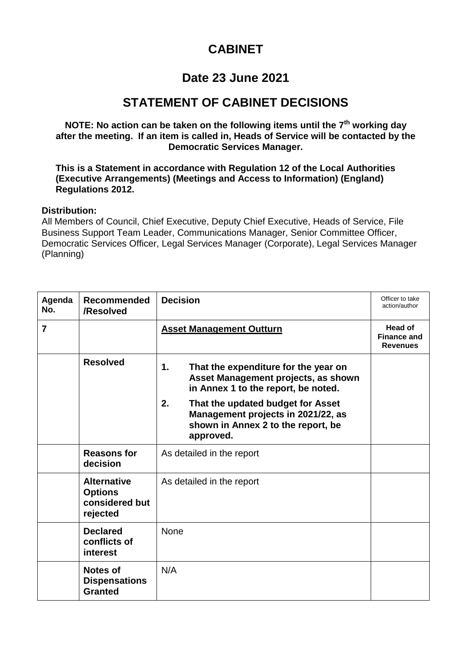## **CABINET**

## **Date 23 June 2021**

## **STATEMENT OF CABINET DECISIONS**

**NOTE: No action can be taken on the following items until the 7th working day after the meeting. If an item is called in, Heads of Service will be contacted by the Democratic Services Manager.**

**This is a Statement in accordance with Regulation 12 of the Local Authorities (Executive Arrangements) (Meetings and Access to Information) (England) Regulations 2012.**

## **Distribution:**

All Members of Council, Chief Executive, Deputy Chief Executive, Heads of Service, File Business Support Team Leader, Communications Manager, Senior Committee Officer, Democratic Services Officer, Legal Services Manager (Corporate), Legal Services Manager (Planning)

| Agenda<br>No.  | <b>Recommended</b><br>/Resolved                                    | <b>Decision</b>                                                                                                                  | Officer to take<br>action/author                 |
|----------------|--------------------------------------------------------------------|----------------------------------------------------------------------------------------------------------------------------------|--------------------------------------------------|
| $\overline{7}$ |                                                                    | <b>Asset Management Outturn</b>                                                                                                  | Head of<br><b>Finance and</b><br><b>Revenues</b> |
|                | <b>Resolved</b>                                                    | 1.<br>That the expenditure for the year on<br>Asset Management projects, as shown<br>in Annex 1 to the report, be noted.         |                                                  |
|                |                                                                    | 2.<br>That the updated budget for Asset<br>Management projects in 2021/22, as<br>shown in Annex 2 to the report, be<br>approved. |                                                  |
|                | <b>Reasons for</b><br>decision                                     | As detailed in the report                                                                                                        |                                                  |
|                | <b>Alternative</b><br><b>Options</b><br>considered but<br>rejected | As detailed in the report                                                                                                        |                                                  |
|                | <b>Declared</b><br>conflicts of<br>interest                        | <b>None</b>                                                                                                                      |                                                  |
|                | <b>Notes of</b><br><b>Dispensations</b><br><b>Granted</b>          | N/A                                                                                                                              |                                                  |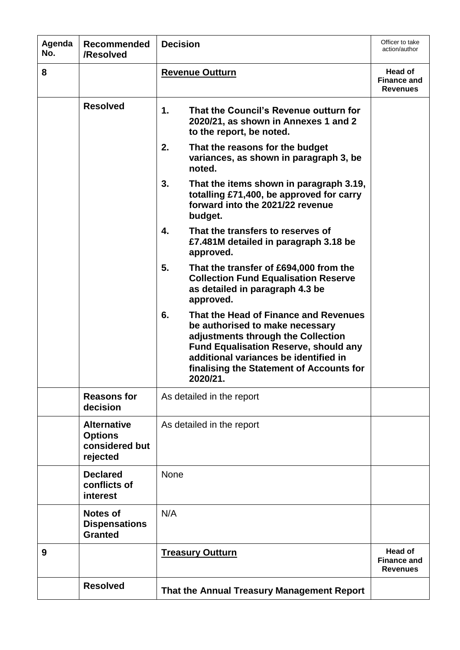| Agenda<br>No. | <b>Recommended</b><br>/Resolved                                    | <b>Decision</b>                                                                                                                                                                                                                                                      | Officer to take<br>action/author                        |
|---------------|--------------------------------------------------------------------|----------------------------------------------------------------------------------------------------------------------------------------------------------------------------------------------------------------------------------------------------------------------|---------------------------------------------------------|
| 8             |                                                                    | <b>Revenue Outturn</b>                                                                                                                                                                                                                                               | Head of<br><b>Finance and</b><br><b>Revenues</b>        |
|               | <b>Resolved</b>                                                    | 1.<br>That the Council's Revenue outturn for<br>2020/21, as shown in Annexes 1 and 2<br>to the report, be noted.                                                                                                                                                     |                                                         |
|               |                                                                    | 2.<br>That the reasons for the budget<br>variances, as shown in paragraph 3, be<br>noted.                                                                                                                                                                            |                                                         |
|               |                                                                    | 3.<br>That the items shown in paragraph 3.19,<br>totalling £71,400, be approved for carry<br>forward into the 2021/22 revenue<br>budget.                                                                                                                             |                                                         |
|               |                                                                    | That the transfers to reserves of<br>4.<br>£7.481M detailed in paragraph 3.18 be<br>approved.                                                                                                                                                                        |                                                         |
|               |                                                                    | 5.<br>That the transfer of £694,000 from the<br><b>Collection Fund Equalisation Reserve</b><br>as detailed in paragraph 4.3 be<br>approved.                                                                                                                          |                                                         |
|               |                                                                    | That the Head of Finance and Revenues<br>6.<br>be authorised to make necessary<br>adjustments through the Collection<br><b>Fund Equalisation Reserve, should any</b><br>additional variances be identified in<br>finalising the Statement of Accounts for<br>2020/21 |                                                         |
|               | <b>Reasons for</b><br>decision                                     | As detailed in the report                                                                                                                                                                                                                                            |                                                         |
|               | <b>Alternative</b><br><b>Options</b><br>considered but<br>rejected | As detailed in the report                                                                                                                                                                                                                                            |                                                         |
|               | <b>Declared</b><br>conflicts of<br>interest                        | None                                                                                                                                                                                                                                                                 |                                                         |
|               | <b>Notes of</b><br><b>Dispensations</b><br><b>Granted</b>          | N/A                                                                                                                                                                                                                                                                  |                                                         |
| 9             |                                                                    | <b>Treasury Outturn</b>                                                                                                                                                                                                                                              | <b>Head of</b><br><b>Finance and</b><br><b>Revenues</b> |
|               | <b>Resolved</b>                                                    | That the Annual Treasury Management Report                                                                                                                                                                                                                           |                                                         |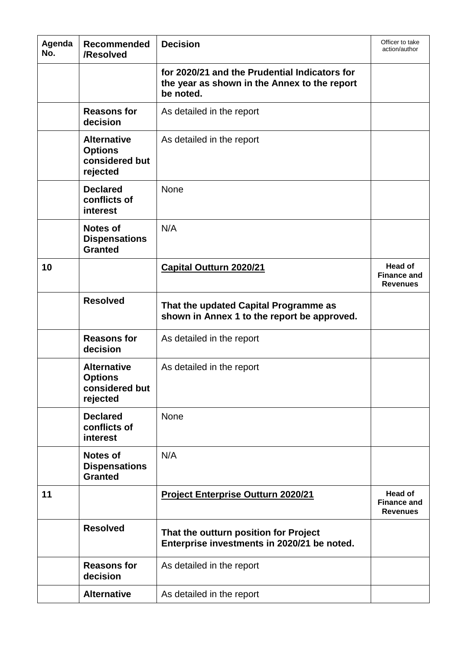| Agenda<br>No. | <b>Recommended</b><br>/Resolved                                    | <b>Decision</b>                                                                                            | Officer to take<br>action/author                        |
|---------------|--------------------------------------------------------------------|------------------------------------------------------------------------------------------------------------|---------------------------------------------------------|
|               |                                                                    | for 2020/21 and the Prudential Indicators for<br>the year as shown in the Annex to the report<br>be noted. |                                                         |
|               | <b>Reasons for</b><br>decision                                     | As detailed in the report                                                                                  |                                                         |
|               | <b>Alternative</b><br><b>Options</b><br>considered but<br>rejected | As detailed in the report                                                                                  |                                                         |
|               | <b>Declared</b><br>conflicts of<br>interest                        | <b>None</b>                                                                                                |                                                         |
|               | <b>Notes of</b><br><b>Dispensations</b><br><b>Granted</b>          | N/A                                                                                                        |                                                         |
| 10            |                                                                    | <b>Capital Outturn 2020/21</b>                                                                             | <b>Head of</b><br><b>Finance and</b><br><b>Revenues</b> |
|               | <b>Resolved</b>                                                    | That the updated Capital Programme as<br>shown in Annex 1 to the report be approved.                       |                                                         |
|               | <b>Reasons for</b><br>decision                                     | As detailed in the report                                                                                  |                                                         |
|               | <b>Alternative</b><br><b>Options</b><br>considered but<br>rejected | As detailed in the report                                                                                  |                                                         |
|               | <b>Declared</b><br>conflicts of<br>interest                        | None                                                                                                       |                                                         |
|               | <b>Notes of</b><br><b>Dispensations</b><br><b>Granted</b>          | N/A                                                                                                        |                                                         |
| 11            |                                                                    | <b>Project Enterprise Outturn 2020/21</b>                                                                  | Head of<br><b>Finance and</b><br><b>Revenues</b>        |
|               | <b>Resolved</b>                                                    | That the outturn position for Project<br>Enterprise investments in 2020/21 be noted.                       |                                                         |
|               | <b>Reasons for</b><br>decision                                     | As detailed in the report                                                                                  |                                                         |
|               | <b>Alternative</b>                                                 | As detailed in the report                                                                                  |                                                         |